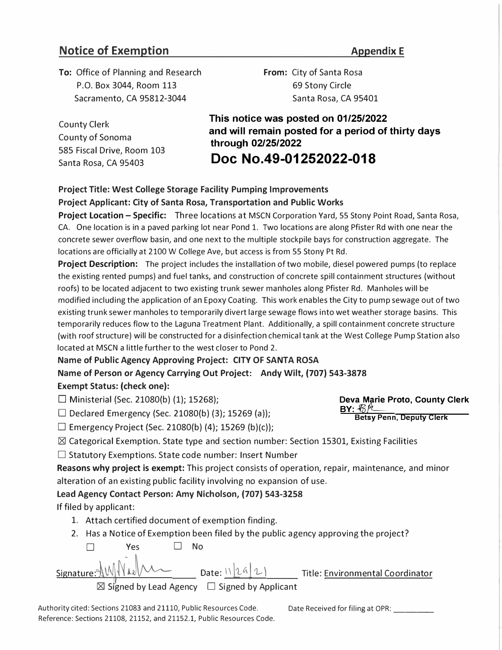# **Notice of Exemption** *Appendix E*

**To:** Office of Planning and Research P.O. Box 3044, Room 113 Sacramento, CA 95812-3044

**From:** City of Santa Rosa 69 Stony Circle Santa Rosa, CA 95401

County Clerk County of Sonoma 585 Fiscal Drive, Room 103 Santa Rosa, CA 95403

**This notice was posted on 01/25/2022 and will remain posted for a period of thirty days through 02/25/2022** 

**Doc No.49-01252022-018** 

# **Project Title: West College Storage Facility Pumping Improvements Project Applicant: City of Santa Rosa, Transportation and Public Works**

**Project Location – Specific:** Three locations at MSCN Corporation Yard, 55 Stony Point Road, Santa Rosa, CA. One location is in a paved parking lot near Pond 1. Two locations are along Pfister Rd with one near the concrete sewer overflow basin, and one next to the multiple stockpile bays for construction aggregate. The locations are officially at 2100 W College Ave, but access is from 55 Stony Pt Rd.

**Project Description:** The project includes the installation of two mobile, diesel powered pumps (to replace the existing rented pumps) and fuel tanks, and construction of concrete spill containment structures (without roofs) to be located adjacent to two existing trunk sewer manholes along Pfister Rd. Manholes will be modified including the application of an Epoxy Coating. This work enables the City to pump sewage out of two existing trunk sewer manholes to temporarily divert large sewage flows into wet weather storage basins. This temporarily reduces flow to the Laguna Treatment Plant. Additionally, a spill containment concrete structure (with roof structure) will be constructed for a disinfection chemical tank at the West College Pump Station also located at MSCN a little further to the west closer to Pond 2.

## **Name of Public Agency Approving Project: CITY OF SANTA ROSA**

**Name of Person or Agency Carrying Out Project: Andy Wilt, (707) 543-3878 Exempt Status: (check one):** 

 $\Box$  Ministerial (Sec. 21080(b) (1); 15268);

 $□$  Declared Emergency (Sec. 21080(b) (3); 15269 (a));

 $\Box$  Emergency Project (Sec. 21080(b) (4); 15269 (b)(c));

 $\boxtimes$  Categorical Exemption. State type and section number: Section 15301, Existing Facilities

 $\square$  Statutory Exemptions. State code number: Insert Number

**Reasons why project is exempt:** This project consists of operation, repair, maintenance, and minor alteration of an existing public facility involving no expansion of use.

**Lead Agency Contact Person: Amy Nicholson, (707) 543-3258** 

If filed by applicant:

- 1. Attach certified document of exemption finding.
- 2. Has a Notice of Exemption been filed by the public agency approving the project?

□ Yes □ No Signature: NW  $\mathcal{M}$  Date:  $\frac{1}{2}$   $\mathcal{A}$   $\mathcal{L}$   $\mathcal{L}$  Title: Environmental Coordinator  $\boxtimes$  Signed by Lead Agency  $\Box$  Signed by Applicant

Authority cited: Sections 21083 and 21110, Public Resources Code. Date Received for filing at OPR: Reference: Sections 21108, 21152, and 21152.1, Public Resources Code.

**Deva Marie Proto, County Clerk**   $BY: R\%$ **Betsy Penn, Deputy Clerk**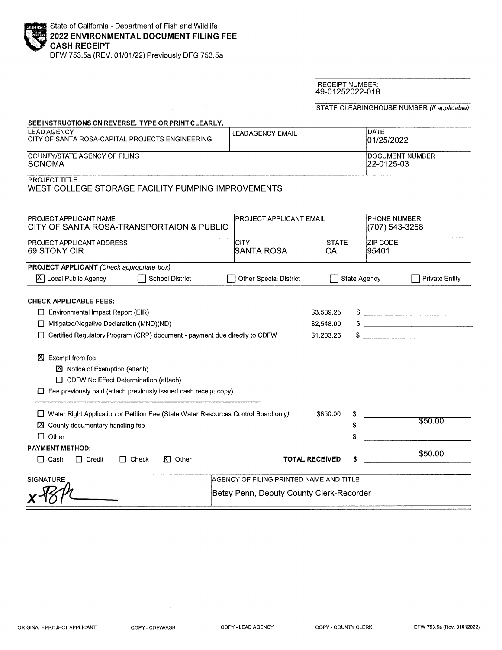|  | <b>ENDOWN</b> State of California - Department of Fish and Wildlife<br>2022 ENVIRONMENTAL DOCUMENT FILING FEE<br>CASH RECEIPT |
|--|-------------------------------------------------------------------------------------------------------------------------------|
|  |                                                                                                                               |

DFW 753.5a (REV. 01/01/22) Previously DFG 753.5a

|                                                                                                                                                                                                                                                                                                                                                                                  |                                          | <b>RECEIPT NUMBER:</b><br>49-01252022-018 |                          |                                            |  |
|----------------------------------------------------------------------------------------------------------------------------------------------------------------------------------------------------------------------------------------------------------------------------------------------------------------------------------------------------------------------------------|------------------------------------------|-------------------------------------------|--------------------------|--------------------------------------------|--|
|                                                                                                                                                                                                                                                                                                                                                                                  |                                          |                                           |                          | STATE CLEARINGHOUSE NUMBER (If applicable) |  |
| SEE INSTRUCTIONS ON REVERSE. TYPE OR PRINT CLEARLY.                                                                                                                                                                                                                                                                                                                              |                                          |                                           |                          |                                            |  |
| <b>LEAD AGENCY</b><br>CITY OF SANTA ROSA-CAPITAL PROJECTS ENGINEERING                                                                                                                                                                                                                                                                                                            | LEAD AGENCY EMAIL                        | DATE<br>01/25/2022                        |                          |                                            |  |
| COUNTY/STATE AGENCY OF FILING<br>SONOMA                                                                                                                                                                                                                                                                                                                                          |                                          | DOCUMENT NUMBER<br>22-0125-03             |                          |                                            |  |
| PROJECT TITLE<br>WEST COLLEGE STORAGE FACILITY PUMPING IMPROVEMENTS                                                                                                                                                                                                                                                                                                              |                                          |                                           |                          |                                            |  |
| PROJECT APPLICANT NAME<br>CITY OF SANTA ROSA-TRANSPORTAION & PUBLIC                                                                                                                                                                                                                                                                                                              | <b>PROJECT APPLICANT EMAIL</b>           |                                           |                          | <b>PHONE NUMBER</b><br>(707) 543-3258      |  |
| PROJECT APPLICANT ADDRESS<br>69 STONY CIR                                                                                                                                                                                                                                                                                                                                        | <b>CITY</b><br>ISANTA ROSA               | <b>STATE</b><br>СA                        | <b>ZIP CODE</b><br>95401 |                                            |  |
| <b>PROJECT APPLICANT</b> (Check appropriate box)<br><b>School District</b><br>$ X $ Local Public Agency                                                                                                                                                                                                                                                                          | <b>Other Special District</b>            |                                           | <b>State Agency</b>      | <b>Private Entity</b>                      |  |
| <b>CHECK APPLICABLE FEES:</b><br>Environmental Impact Report (EIR)<br>Mitigated/Negative Declaration (MND)(ND)<br>□ Certified Regulatory Program (CRP) document - payment due directly to CDFW<br>X Exempt from fee<br><b>■</b> Notice of Exemption (attach)<br>CDFW No Effect Determination (attach)<br>$\Box$ Fee previously paid (attach previously issued cash receipt copy) |                                          | \$3,539.25<br>\$2,548.00<br>\$1,203.25    |                          | $\frac{1}{2}$                              |  |
| □ Water Right Application or Petition Fee (State Water Resources Control Board only)<br>$\boxtimes$ County documentary handling fee<br>$\Box$ Other                                                                                                                                                                                                                              | \$850.00                                 | \$<br>\$                                  | \$50.00                  |                                            |  |
| <b>PAYMENT METHOD:</b>                                                                                                                                                                                                                                                                                                                                                           |                                          |                                           |                          | \$50.00                                    |  |
| $\Box$ Cash<br>$\Box$ Credit<br>$\Box$ Check<br>$K$ Other                                                                                                                                                                                                                                                                                                                        |                                          | <b>TOTAL RECEIVED</b>                     | S                        |                                            |  |
| <b>SIGNATURE</b>                                                                                                                                                                                                                                                                                                                                                                 | AGENCY OF FILING PRINTED NAME AND TITLE  |                                           |                          |                                            |  |
|                                                                                                                                                                                                                                                                                                                                                                                  | Betsy Penn, Deputy County Clerk-Recorder |                                           |                          |                                            |  |

COPY - CDFW/ASB

 $\hat{\boldsymbol{\theta}}$